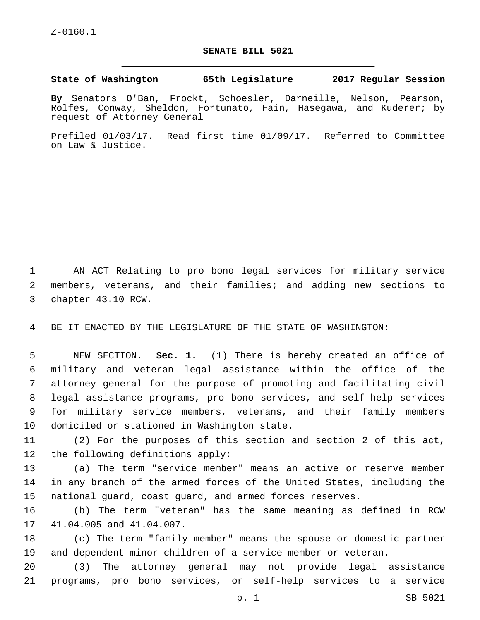## **SENATE BILL 5021**

## **State of Washington 65th Legislature 2017 Regular Session**

**By** Senators O'Ban, Frockt, Schoesler, Darneille, Nelson, Pearson, Rolfes, Conway, Sheldon, Fortunato, Fain, Hasegawa, and Kuderer; by request of Attorney General

Prefiled 01/03/17. Read first time 01/09/17. Referred to Committee on Law & Justice.

1 AN ACT Relating to pro bono legal services for military service 2 members, veterans, and their families; and adding new sections to 3 chapter 43.10 RCW.

4 BE IT ENACTED BY THE LEGISLATURE OF THE STATE OF WASHINGTON:

 NEW SECTION. **Sec. 1.** (1) There is hereby created an office of military and veteran legal assistance within the office of the attorney general for the purpose of promoting and facilitating civil legal assistance programs, pro bono services, and self-help services for military service members, veterans, and their family members domiciled or stationed in Washington state.

11 (2) For the purposes of this section and section 2 of this act, 12 the following definitions apply:

13 (a) The term "service member" means an active or reserve member 14 in any branch of the armed forces of the United States, including the 15 national guard, coast guard, and armed forces reserves.

16 (b) The term "veteran" has the same meaning as defined in RCW 17 41.04.005 and 41.04.007.

18 (c) The term "family member" means the spouse or domestic partner 19 and dependent minor children of a service member or veteran.

20 (3) The attorney general may not provide legal assistance 21 programs, pro bono services, or self-help services to a service